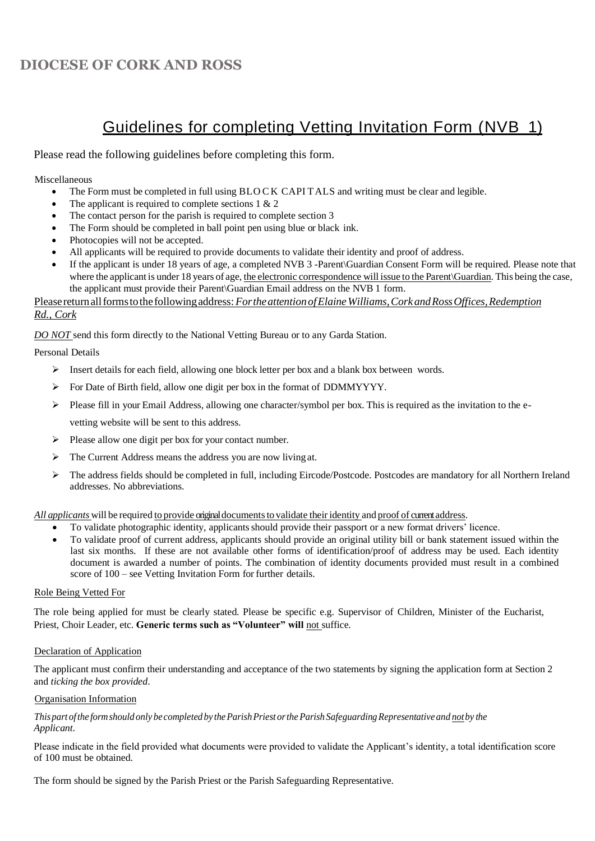## **DIOCESE OF CORK AND ROSS**

# Guidelines for completing Vetting Invitation Form (NVB 1)

Please read the following guidelines before completing this form.

Miscellaneous

- The Form must be completed in full using BLO CK CAPITALS and writing must be clear and legible.
- The applicant is required to complete sections  $1 \& 2$
- The contact person for the parish is required to complete section 3
- The Form should be completed in ball point pen using blue or black ink.
- Photocopies will not be accepted.
- All applicants will be required to provide documents to validate their identity and proof of address.
- If the applicant is under 18 years of age, a completed NVB 3 -Parent\Guardian Consent Form will be required. Please note that where the applicant is under 18 years of age, the electronic correspondence will issue to the Parent\Guardian. This being the case, the applicant must provide their Parent\Guardian Email address on the NVB 1 form.

Pleasereturnallformstothefollowingaddress:*FortheattentionofElaineWilliams,Cork andRossOffices,Redemption Rd., Cork*

*DO NOT* send this form directly to the National Vetting Bureau or to any Garda Station.

Personal Details

- $\triangleright$  Insert details for each field, allowing one block letter per box and a blank box between words.
- ➢ For Date of Birth field, allow one digit per box in the format of DDMMYYYY.
- $\triangleright$  Please fill in your Email Address, allowing one character/symbol per box. This is required as the invitation to the evetting website will be sent to this address.
- ➢ Please allow one digit per box for your contact number.
- $\triangleright$  The Current Address means the address you are now living at.
- ➢ The address fields should be completed in full, including Eircode/Postcode. Postcodes are mandatory for all Northern Ireland addresses. No abbreviations.

All *applicants* will be required to provide original documents to validate their identity and proof of current address.

- To validate photographic identity, applicants should provide their passport or a new format drivers' licence.
- To validate proof of current address, applicants should provide an original utility bill or bank statement issued within the last six months. If these are not available other forms of identification/proof of address may be used. Each identity document is awarded a number of points. The combination of identity documents provided must result in a combined score of 100 – see Vetting Invitation Form for further details.

#### Role Being Vetted For

The role being applied for must be clearly stated. Please be specific e.g. Supervisor of Children, Minister of the Eucharist, Priest, Choir Leader, etc. **Generic terms such as "Volunteer" will** not suffice.

### Declaration of Application

The applicant must confirm their understanding and acceptance of the two statements by signing the application form at Section 2 and *ticking the box provided*.

#### Organisation Information

#### *Thispart ofthe formshould only be completed by theParishPriest ortheParish SafeguardingRepresentativeand notby the Applicant*.

Please indicate in the field provided what documents were provided to validate the Applicant's identity, a total identification score of 100 must be obtained.

The form should be signed by the Parish Priest or the Parish Safeguarding Representative.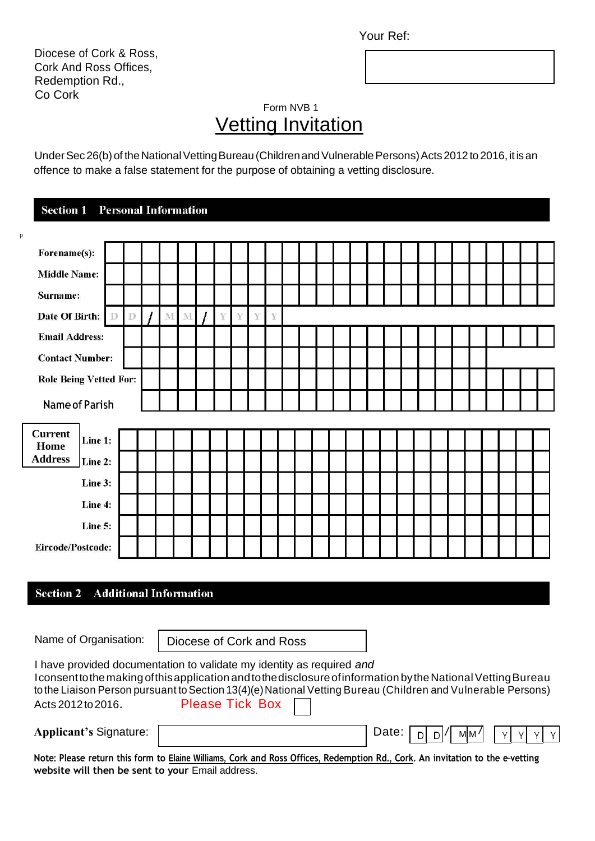Your Ref:

Diocese of Cork & Ross, Cork And Ross Offices, Redemption Rd., Co Cork

# Form NVB 1 Vetting Invitation

Under Sec 26(b) of the National Vetting Bureau (Children and Vulnerable Persons) Acts 2012 to 2016, it is an offence to make a false statement for the purpose of obtaining a vetting disclosure.

#### **Personal Information Section 1**

p

| Forename(s):                                    |         |   |   |              |   |   |   |   |   |  |  |  |  |  |  |  |  |
|-------------------------------------------------|---------|---|---|--------------|---|---|---|---|---|--|--|--|--|--|--|--|--|
| <b>Middle Name:</b>                             |         |   |   |              |   |   |   |   |   |  |  |  |  |  |  |  |  |
| Surname:                                        |         |   |   |              |   |   |   |   |   |  |  |  |  |  |  |  |  |
| Date Of Birth:                                  |         | D | D | $\mathbf{M}$ | M | Y | Y | V | V |  |  |  |  |  |  |  |  |
| <b>Email Address:</b><br><b>Contact Number:</b> |         |   |   |              |   |   |   |   |   |  |  |  |  |  |  |  |  |
|                                                 |         |   |   |              |   |   |   |   |   |  |  |  |  |  |  |  |  |
| <b>Role Being Vetted For:</b>                   |         |   |   |              |   |   |   |   |   |  |  |  |  |  |  |  |  |
| Name of Parish                                  |         |   |   |              |   |   |   |   |   |  |  |  |  |  |  |  |  |
|                                                 |         |   |   |              |   |   |   |   |   |  |  |  |  |  |  |  |  |
| <b>Current</b><br>Home                          | Line 1: |   |   |              |   |   |   |   |   |  |  |  |  |  |  |  |  |
| <b>Address</b>                                  | Line 2: |   |   |              |   |   |   |   |   |  |  |  |  |  |  |  |  |
|                                                 | Line 3: |   |   |              |   |   |   |   |   |  |  |  |  |  |  |  |  |
|                                                 | Line 4: |   |   |              |   |   |   |   |   |  |  |  |  |  |  |  |  |
|                                                 | Line 5: |   |   |              |   |   |   |   |   |  |  |  |  |  |  |  |  |
| Eircode/Postcode:                               |         |   |   |              |   |   |   |   |   |  |  |  |  |  |  |  |  |

### **Section 2 Additional Information**

Name of Organisation:

Diocese of Cork and Ross

I have provided documentation to validate my identity as required *and* I consent to the making of this application and to the disclosure of information by the National Vetting Bureau to the Liaison Person pursuant to Section 13(4)(e) National Vetting Bureau (Children and Vulnerable Persons) Acts 2012to2016. Please Tick Box

Applicant's Signature:

| . . |  | Л |  |  |  |  |  |
|-----|--|---|--|--|--|--|--|
|-----|--|---|--|--|--|--|--|

Note: Please return this form to Elaine Williams, Cork and Ross Offices, Redemption Rd., Cork. An invitation to the e-vetting **website will then be sent to your** Email address.